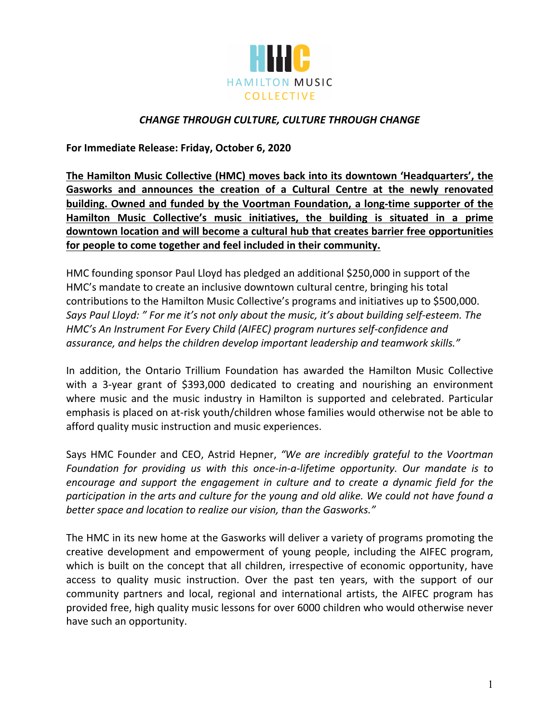

## *CHANGE THROUGH CULTURE, CULTURE THROUGH CHANGE*

**For Immediate Release: Friday, October 6, 2020** 

The Hamilton Music Collective (HMC) moves back into its downtown 'Headquarters', the Gasworks and announces the creation of a Cultural Centre at the newly renovated building. Owned and funded by the Voortman Foundation, a long-time supporter of the Hamilton Music Collective's music initiatives, the building is situated in a prime downtown location and will become a cultural hub that creates barrier free opportunities for people to come together and feel included in their community.

HMC founding sponsor Paul Lloyd has pledged an additional \$250,000 in support of the HMC's mandate to create an inclusive downtown cultural centre, bringing his total contributions to the Hamilton Music Collective's programs and initiatives up to \$500,000. Says Paul Lloyd: " For me it's not only about the music, it's about building self-esteem. The *HMC's* An Instrument For Every Child (AIFEC) program nurtures self-confidence and assurance, and helps the children develop important leadership and teamwork skills."

In addition, the Ontario Trillium Foundation has awarded the Hamilton Music Collective with a 3-year grant of \$393,000 dedicated to creating and nourishing an environment where music and the music industry in Hamilton is supported and celebrated. Particular emphasis is placed on at-risk youth/children whose families would otherwise not be able to afford quality music instruction and music experiences.

Says HMC Founder and CEO, Astrid Hepner, "We are incredibly grateful to the Voortman *Foundation for providing us with this once-in-a-lifetime opportunity. Our mandate is to encourage* and support the engagement in culture and to create a dynamic field for the *participation in the arts and culture for the young and old alike. We could not have found a better space and location to realize our vision, than the Gasworks."*

The HMC in its new home at the Gasworks will deliver a variety of programs promoting the creative development and empowerment of young people, including the AIFEC program, which is built on the concept that all children, irrespective of economic opportunity, have access to quality music instruction. Over the past ten years, with the support of our community partners and local, regional and international artists, the AIFEC program has provided free, high quality music lessons for over 6000 children who would otherwise never have such an opportunity.